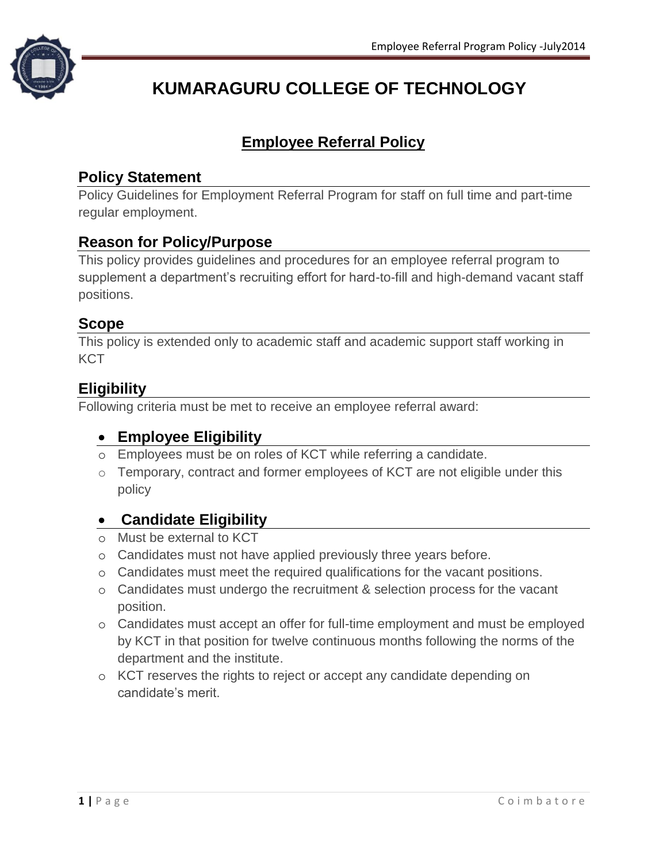

# **KUMARAGURU COLLEGE OF TECHNOLOGY**

# **Employee Referral Policy**

## **Policy Statement**

Policy Guidelines for Employment Referral Program for staff on full time and part-time regular employment.

## **Reason for Policy/Purpose**

This policy provides guidelines and procedures for an employee referral program to supplement a department's recruiting effort for hard-to-fill and high-demand vacant staff positions.

#### **Scope**

This policy is extended only to academic staff and academic support staff working in **KCT** 

## **Eligibility**

Following criteria must be met to receive an employee referral award:

#### **Employee Eligibility**

- o Employees must be on roles of KCT while referring a candidate.
- o Temporary, contract and former employees of KCT are not eligible under this policy

#### **Candidate Eligibility**

- o Must be external to KCT
- o Candidates must not have applied previously three years before.
- o Candidates must meet the required qualifications for the vacant positions.
- o Candidates must undergo the recruitment & selection process for the vacant position.
- o Candidates must accept an offer for full-time employment and must be employed by KCT in that position for twelve continuous months following the norms of the department and the institute.
- o KCT reserves the rights to reject or accept any candidate depending on candidate's merit.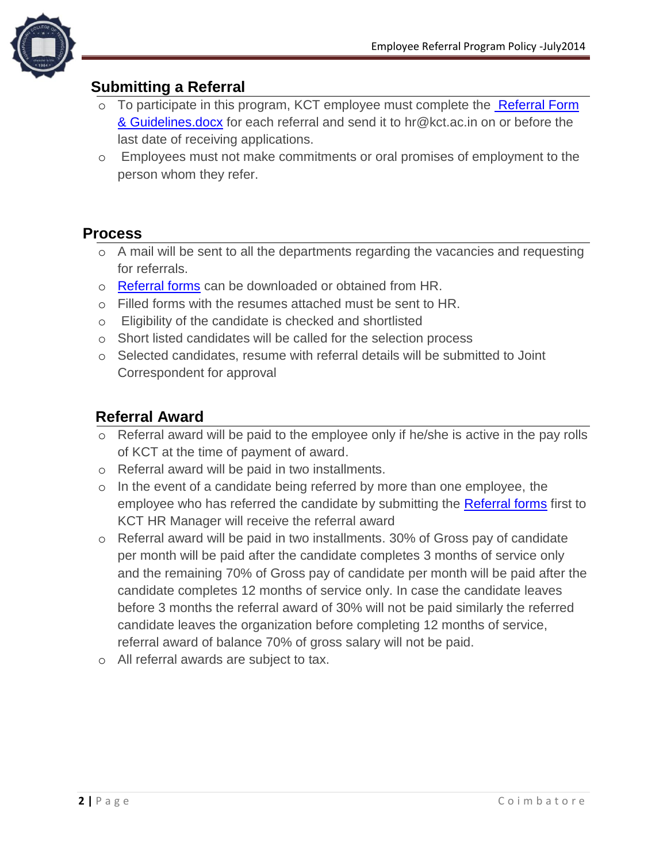

#### **Submitting a Referral**

- o To participate in this program, KCT employee must complete the [Referral Form](mailto:%20Employee%20Referral%20form)  & Guidelines.docx for each referral and send it to [hr@kct.ac.in](mailto:hr@kct.ac.in) on or before the last date of receiving applications.
- o Employees must not make commitments or oral promises of employment to the person whom they refer.

#### **Process**

- o A mail will be sent to all the departments regarding the vacancies and requesting for referrals.
- o [Referral forms](Referral%20Form%20&%20Guidelines.docx) can be downloaded or obtained from HR.
- o Filled forms with the resumes attached must be sent to HR.
- o Eligibility of the candidate is checked and shortlisted
- o Short listed candidates will be called for the selection process
- o Selected candidates, resume with referral details will be submitted to Joint Correspondent for approval

#### **Referral Award**

- o Referral award will be paid to the employee only if he/she is active in the pay rolls of KCT at the time of payment of award.
- o Referral award will be paid in two installments.
- o In the event of a candidate being referred by more than one employee, the employee who has referred the candidate by submitting the [Referral forms](Referral%20Form%20&%20Guidelines.docx) first to KCT HR Manager will receive the referral award
- o Referral award will be paid in two installments. 30% of Gross pay of candidate per month will be paid after the candidate completes 3 months of service only and the remaining 70% of Gross pay of candidate per month will be paid after the candidate completes 12 months of service only. In case the candidate leaves before 3 months the referral award of 30% will not be paid similarly the referred candidate leaves the organization before completing 12 months of service, referral award of balance 70% of gross salary will not be paid.
- o All referral awards are subject to tax.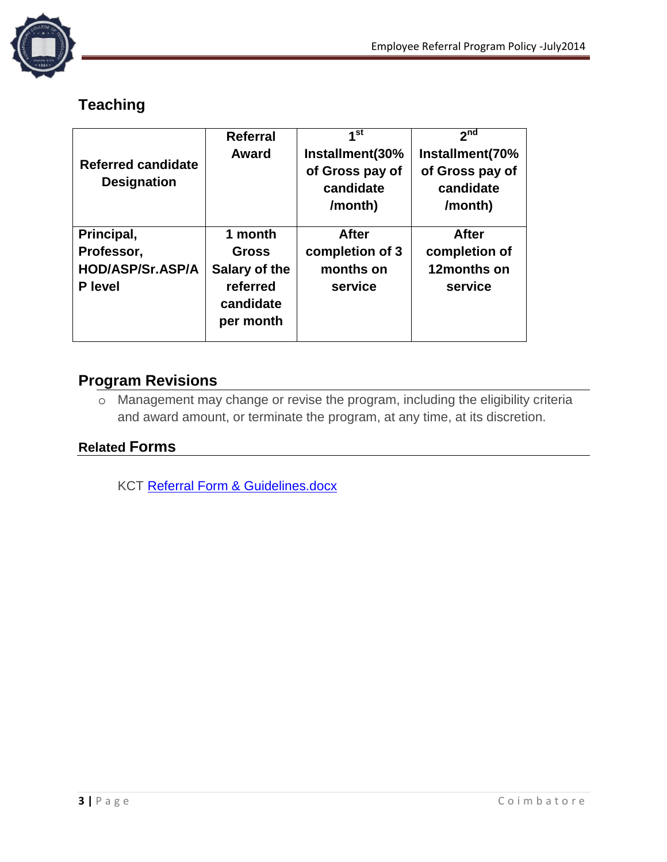

# **Teaching**

| Referred candidate<br><b>Designation</b>                              | <b>Referral</b><br>Award                                                       | 1 <sup>st</sup><br>Installment(30%<br>of Gross pay of<br>candidate<br>/month) | 2 <sub>nd</sub><br>Installment(70%<br>of Gross pay of<br>candidate<br>/month) |
|-----------------------------------------------------------------------|--------------------------------------------------------------------------------|-------------------------------------------------------------------------------|-------------------------------------------------------------------------------|
| Principal,<br>Professor,<br><b>HOD/ASP/Sr.ASP/A</b><br><b>P</b> level | 1 month<br><b>Gross</b><br>Salary of the<br>referred<br>candidate<br>per month | <b>After</b><br>completion of 3<br>months on<br>service                       | <b>After</b><br>completion of<br>12months on<br>service                       |

#### **Program Revisions**

o Management may change or revise the program, including the eligibility criteria and award amount, or terminate the program, at any time, at its discretion.

#### **Related Forms**

KCT [Referral Form & Guidelines.docx](Referral%20Form%20&%20Guidelines.docx)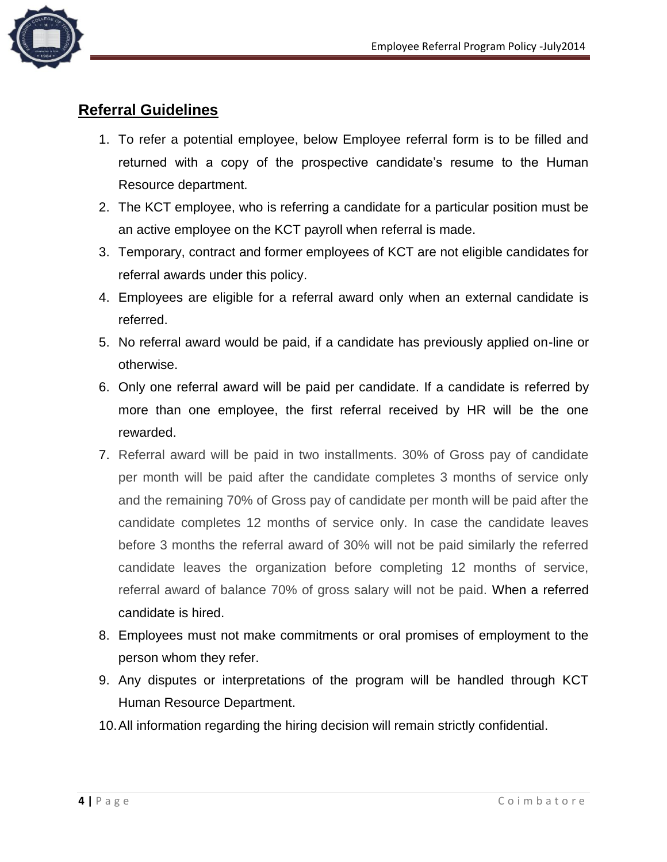

## **Referral Guidelines**

- 1. To refer a potential employee, below Employee referral form is to be filled and returned with a copy of the prospective candidate's resume to the Human Resource department.
- 2. The KCT employee, who is referring a candidate for a particular position must be an active employee on the KCT payroll when referral is made.
- 3. Temporary, contract and former employees of KCT are not eligible candidates for referral awards under this policy.
- 4. Employees are eligible for a referral award only when an external candidate is referred.
- 5. No referral award would be paid, if a candidate has previously applied on-line or otherwise.
- 6. Only one referral award will be paid per candidate. If a candidate is referred by more than one employee, the first referral received by HR will be the one rewarded.
- 7. Referral award will be paid in two installments. 30% of Gross pay of candidate per month will be paid after the candidate completes 3 months of service only and the remaining 70% of Gross pay of candidate per month will be paid after the candidate completes 12 months of service only. In case the candidate leaves before 3 months the referral award of 30% will not be paid similarly the referred candidate leaves the organization before completing 12 months of service, referral award of balance 70% of gross salary will not be paid. When a referred candidate is hired.
- 8. Employees must not make commitments or oral promises of employment to the person whom they refer.
- 9. Any disputes or interpretations of the program will be handled through KCT Human Resource Department.
- 10.All information regarding the hiring decision will remain strictly confidential.